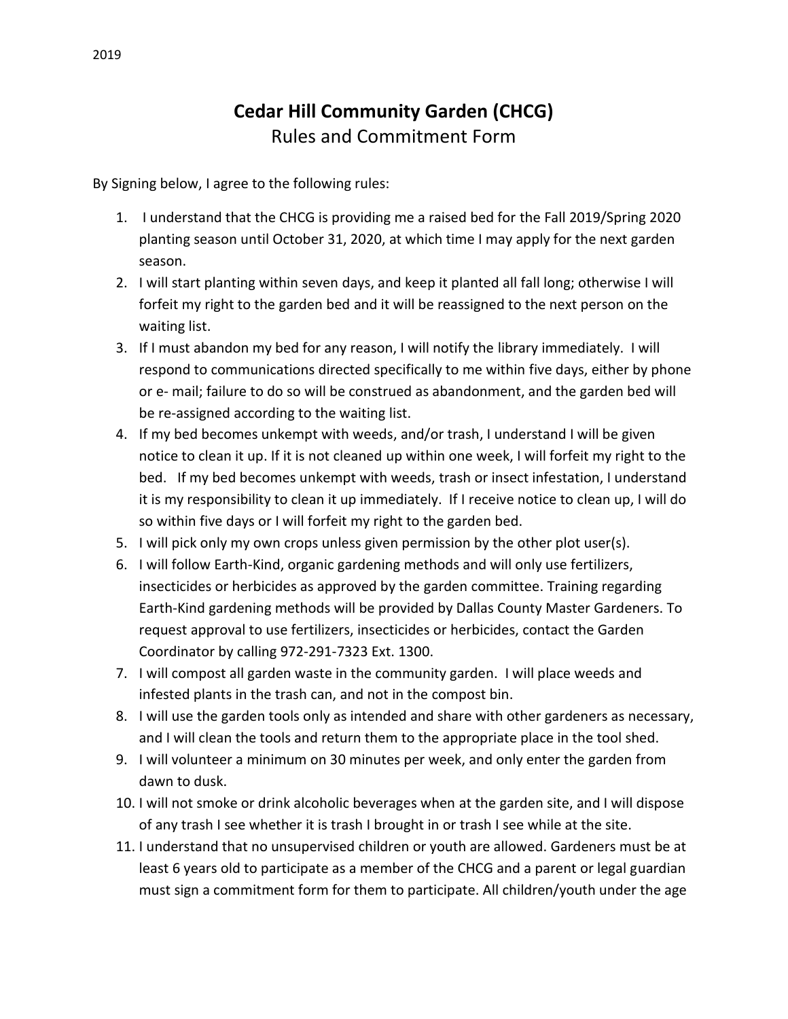## **Cedar Hill Community Garden (CHCG)**  Rules and Commitment Form

By Signing below, I agree to the following rules:

- 1. I understand that the CHCG is providing me a raised bed for the Fall 2019/Spring 2020 planting season until October 31, 2020, at which time I may apply for the next garden season.
- 2. I will start planting within seven days, and keep it planted all fall long; otherwise I will forfeit my right to the garden bed and it will be reassigned to the next person on the waiting list.
- 3. If I must abandon my bed for any reason, I will notify the library immediately. I will respond to communications directed specifically to me within five days, either by phone or e- mail; failure to do so will be construed as abandonment, and the garden bed will be re-assigned according to the waiting list.
- 4. If my bed becomes unkempt with weeds, and/or trash, I understand I will be given notice to clean it up. If it is not cleaned up within one week, I will forfeit my right to the bed. If my bed becomes unkempt with weeds, trash or insect infestation, I understand it is my responsibility to clean it up immediately. If I receive notice to clean up, I will do so within five days or I will forfeit my right to the garden bed.
- 5. I will pick only my own crops unless given permission by the other plot user(s).
- 6. I will follow Earth-Kind, organic gardening methods and will only use fertilizers, insecticides or herbicides as approved by the garden committee. Training regarding Earth-Kind gardening methods will be provided by Dallas County Master Gardeners. To request approval to use fertilizers, insecticides or herbicides, contact the Garden Coordinator by calling 972-291-7323 Ext. 1300.
- 7. I will compost all garden waste in the community garden. I will place weeds and infested plants in the trash can, and not in the compost bin.
- 8. I will use the garden tools only as intended and share with other gardeners as necessary, and I will clean the tools and return them to the appropriate place in the tool shed.
- 9. I will volunteer a minimum on 30 minutes per week, and only enter the garden from dawn to dusk.
- 10. I will not smoke or drink alcoholic beverages when at the garden site, and I will dispose of any trash I see whether it is trash I brought in or trash I see while at the site.
- 11. I understand that no unsupervised children or youth are allowed. Gardeners must be at least 6 years old to participate as a member of the CHCG and a parent or legal guardian must sign a commitment form for them to participate. All children/youth under the age